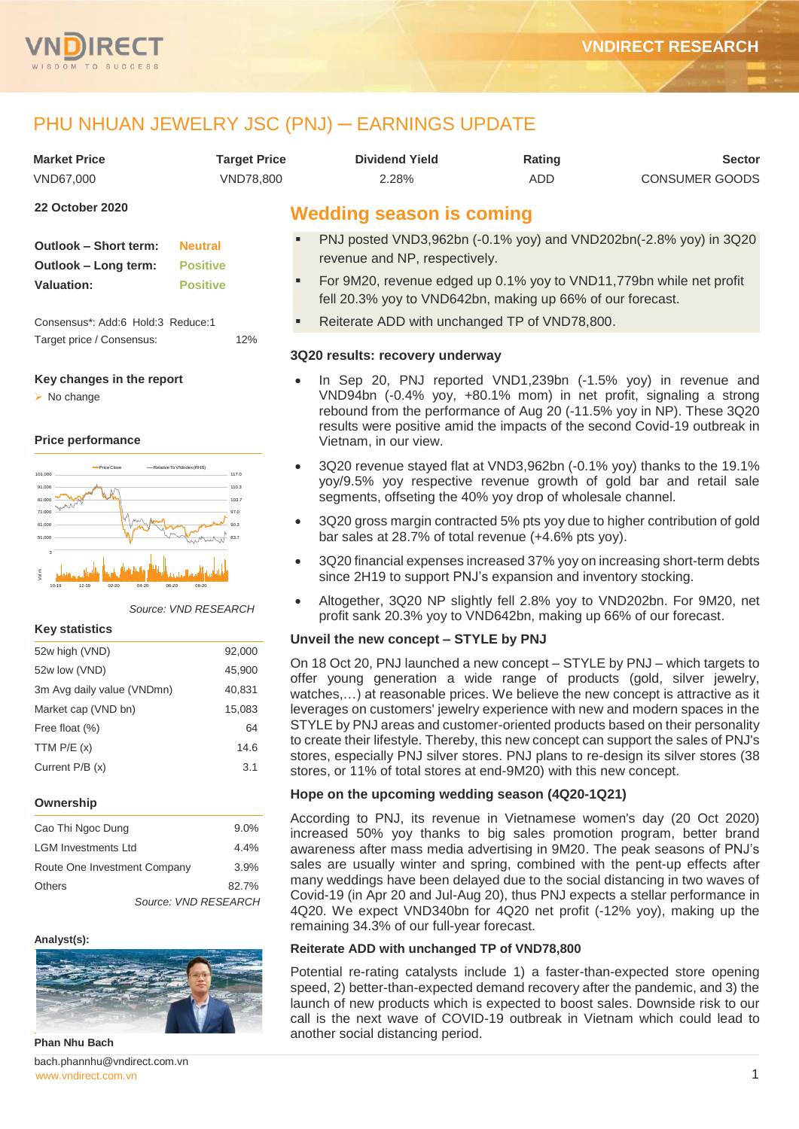

# PHU NHUAN JEWELRY JSC (PNJ) - EARNINGS UPDATE

| <b>Market Price</b> | Target Price | <b>Dividend Yield</b> | Rating | <b>Sector</b>         |
|---------------------|--------------|-----------------------|--------|-----------------------|
| VND67.000           | VND78.800    | 2.28%                 | ADD    | <b>CONSUMER GOODS</b> |

#### **22 October 2020**

| <b>Outlook - Short term:</b> | <b>Neutral</b>  |
|------------------------------|-----------------|
| Outlook – Long term:         | <b>Positive</b> |
| <b>Valuation:</b>            | <b>Positive</b> |

Consensus\*: Add:6 Hold:3 Reduce:1 Target price / Consensus: 12%

#### **Key changes in the report**

 $\triangleright$  No change

#### **Price performance**



#### *Source: VND RESEARCH*

#### **Key statistics**

| 52w high (VND)             | 92,000 |
|----------------------------|--------|
| 52w low (VND)              | 45,900 |
| 3m Avg daily value (VNDmn) | 40,831 |
| Market cap (VND bn)        | 15,083 |
| Free float (%)             | 64     |
| TTM $P/E(x)$               | 14.6   |
| Current P/B (x)            | 3.1    |
|                            |        |

#### **Ownership**

| Cao Thi Ngoc Dung            | $9.0\%$              |
|------------------------------|----------------------|
| <b>LGM Investments Ltd</b>   | 4.4%                 |
| Route One Investment Company | 3.9%                 |
| <b>Others</b>                | 82.7%                |
|                              | Source: VND RESEARCH |

#### **Analyst(s):**



**Phan Nhu Bach**

[www.vndirect.com.vn](file:///C:/Users/Andre/Downloads/www.vndirect.com.vn) **1** bach.phannhu@vndirect.com.vn

# **Wedding season is coming**

- PNJ posted VND3,962bn (-0.1% yoy) and VND202bn(-2.8% yoy) in 3Q20 revenue and NP, respectively.
- For 9M20, revenue edged up 0.1% yoy to VND11,779bn while net profit fell 20.3% yoy to VND642bn, making up 66% of our forecast.
- Reiterate ADD with unchanged TP of VND78,800.

#### **3Q20 results: recovery underway**

- In Sep 20, PNJ reported VND1,239bn (-1.5% yoy) in revenue and VND94bn (-0.4% yoy, +80.1% mom) in net profit, signaling a strong rebound from the performance of Aug 20 (-11.5% yoy in NP). These 3Q20 results were positive amid the impacts of the second Covid-19 outbreak in Vietnam, in our view.
- 3Q20 revenue stayed flat at VND3,962bn (-0.1% yoy) thanks to the 19.1% yoy/9.5% yoy respective revenue growth of gold bar and retail sale segments, offseting the 40% yoy drop of wholesale channel.
- 3Q20 gross margin contracted 5% pts yoy due to higher contribution of gold bar sales at 28.7% of total revenue (+4.6% pts yoy).
- 3Q20 financial expenses increased 37% yoy on increasing short-term debts since 2H19 to support PNJ's expansion and inventory stocking.
- Altogether, 3Q20 NP slightly fell 2.8% yoy to VND202bn. For 9M20, net profit sank 20.3% yoy to VND642bn, making up 66% of our forecast.

#### **Unveil the new concept – STYLE by PNJ**

On 18 Oct 20, PNJ launched a new concept – STYLE by PNJ – which targets to offer young generation a wide range of products (gold, silver jewelry, watches,…) at reasonable prices. We believe the new concept is attractive as it leverages on customers' jewelry experience with new and modern spaces in the STYLE by PNJ areas and customer-oriented products based on their personality to create their lifestyle. Thereby, this new concept can support the sales of PNJ's stores, especially PNJ silver stores. PNJ plans to re-design its silver stores (38 stores, or 11% of total stores at end-9M20) with this new concept.

### **Hope on the upcoming wedding season (4Q20-1Q21)**

According to PNJ, its revenue in Vietnamese women's day (20 Oct 2020) increased 50% yoy thanks to big sales promotion program, better brand awareness after mass media advertising in 9M20. The peak seasons of PNJ's sales are usually winter and spring, combined with the pent-up effects after many weddings have been delayed due to the social distancing in two waves of Covid-19 (in Apr 20 and Jul-Aug 20), thus PNJ expects a stellar performance in 4Q20. We expect VND340bn for 4Q20 net profit (-12% yoy), making up the remaining 34.3% of our full-year forecast.

#### **Reiterate ADD with unchanged TP of VND78,800**

Potential re-rating catalysts include 1) a faster-than-expected store opening speed, 2) better-than-expected demand recovery after the pandemic, and 3) the launch of new products which is expected to boost sales. Downside risk to our call is the next wave of COVID-19 outbreak in Vietnam which could lead to another social distancing period.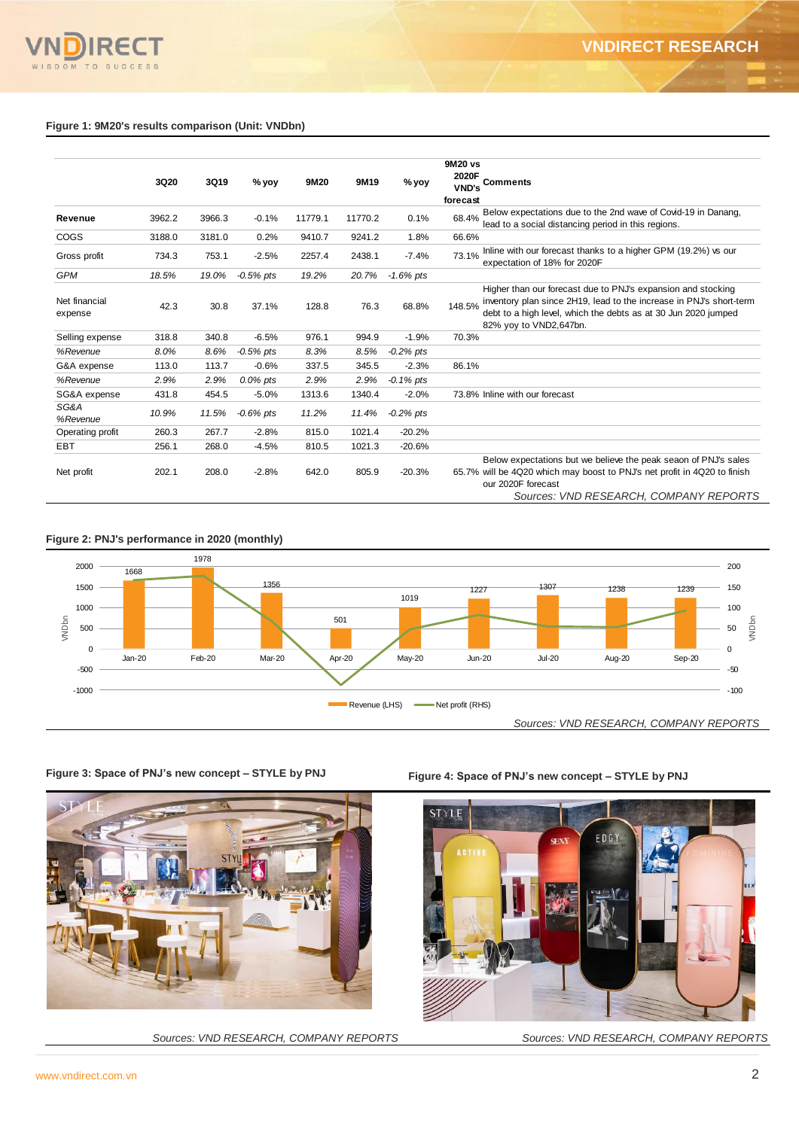#### **Figure 1: 9M20's results comparison (Unit: VNDbn)**

|                                                                              | 3Q20   | 3Q19   | % yoy                                  | 9M20    | 9M19          | % yoy        | 9M20 vs<br>2020F<br><b>VND's</b><br>forecast | <b>Comments</b>                                                                                                                                                                                                                 |
|------------------------------------------------------------------------------|--------|--------|----------------------------------------|---------|---------------|--------------|----------------------------------------------|---------------------------------------------------------------------------------------------------------------------------------------------------------------------------------------------------------------------------------|
| Revenue                                                                      | 3962.2 | 3966.3 | $-0.1%$                                | 11779.1 | 11770.2       | 0.1%         | 68.4%                                        | Below expectations due to the 2nd wave of Covid-19 in Danang,<br>lead to a social distancing period in this regions.                                                                                                            |
| COGS                                                                         | 3188.0 | 3181.0 | 0.2%                                   | 9410.7  | 9241.2        | 1.8%         | 66.6%                                        |                                                                                                                                                                                                                                 |
| Gross profit                                                                 | 734.3  | 753.1  | $-2.5%$                                | 2257.4  | 2438.1        | $-7.4%$      | 73.1%                                        | Inline with our forecast thanks to a higher GPM (19.2%) vs our<br>expectation of 18% for 2020F                                                                                                                                  |
| GPM                                                                          | 18.5%  | 19.0%  | $-0.5%$ pts                            | 19.2%   | 20.7%         | $-1.6%$ pts  |                                              |                                                                                                                                                                                                                                 |
| Net financial<br>expense                                                     | 42.3   | 30.8   | 37.1%                                  | 128.8   | 76.3          | 68.8%        | 148.5%                                       | Higher than our forecast due to PNJ's expansion and stocking<br>inventory plan since 2H19, lead to the increase in PNJ's short-term<br>debt to a high level, which the debts as at 30 Jun 2020 jumped<br>82% yoy to VND2,647bn. |
| Selling expense                                                              | 318.8  | 340.8  | $-6.5%$                                | 976.1   | 994.9         | $-1.9%$      | 70.3%                                        |                                                                                                                                                                                                                                 |
| %Revenue                                                                     | 8.0%   | 8.6%   | $-0.5%$ pts                            | 8.3%    | 8.5%          | $-0.2%$ pts  |                                              |                                                                                                                                                                                                                                 |
| G&A expense                                                                  | 113.0  | 113.7  | $-0.6%$                                | 337.5   | 345.5         | $-2.3%$      | 86.1%                                        |                                                                                                                                                                                                                                 |
| %Revenue                                                                     | 2.9%   | 2.9%   | 0.0% pts                               | 2.9%    | 2.9%          | $-0.1\%$ pts |                                              |                                                                                                                                                                                                                                 |
| SG&A expense                                                                 | 431.8  | 454.5  | $-5.0%$                                | 1313.6  | 1340.4        | $-2.0%$      |                                              | 73.8% Inline with our forecast                                                                                                                                                                                                  |
| SG&A<br>%Revenue                                                             | 10.9%  | 11.5%  | -0.6% pts                              | 11.2%   | 11.4%         | $-0.2\%$ pts |                                              |                                                                                                                                                                                                                                 |
| Operating profit                                                             | 260.3  | 267.7  | $-2.8%$                                | 815.0   | 1021.4        | $-20.2%$     |                                              |                                                                                                                                                                                                                                 |
| EBT                                                                          | 256.1  | 268.0  | $-4.5%$                                | 810.5   | 1021.3        | $-20.6%$     |                                              |                                                                                                                                                                                                                                 |
| Net profit                                                                   | 202.1  | 208.0  | $-2.8%$                                | 642.0   | 805.9         | $-20.3%$     |                                              | Below expectations but we believe the peak seaon of PNJ's sales<br>65.7% will be 4Q20 which may boost to PNJ's net profit in 4Q20 to finish<br>our 2020F forecast<br>Sources: VND RESEARCH, COMPANY REPORTS                     |
| igure 2: PNJ's performance in 2020 (monthly)<br>2000<br>1668<br>1500<br>1000 |        | 1978   | 1356                                   |         | 501           | 1019         | 1227                                         | 200<br>1307<br>150<br>1238<br>1239<br>100                                                                                                                                                                                       |
| VNDbn<br>500                                                                 |        |        |                                        |         |               |              |                                              | VNDbn<br>50                                                                                                                                                                                                                     |
| $\pmb{0}$<br>$Jan-20$                                                        |        | Feb-20 | Mar-20                                 |         | Apr-20        | May-20       | <b>Jun-20</b>                                | 0<br><b>Jul-20</b><br>Aug-20<br>Sep-20                                                                                                                                                                                          |
| $-500$                                                                       |        |        |                                        |         |               |              |                                              | $-50$                                                                                                                                                                                                                           |
| $-1000$                                                                      |        |        |                                        |         |               |              |                                              | $-100$                                                                                                                                                                                                                          |
|                                                                              |        |        |                                        |         | Revenue (LHS) |              | Net profit (RHS)                             |                                                                                                                                                                                                                                 |
|                                                                              |        |        |                                        |         |               |              |                                              | Sources: VND RESEARCH, COMPANY REPORTS                                                                                                                                                                                          |
| igure 3: Space of PNJ's new concept - STYLE by PNJ                           |        |        |                                        |         |               |              |                                              | Figure 4: Space of PNJ's new concept - STYLE by PNJ                                                                                                                                                                             |
|                                                                              |        |        |                                        |         |               |              | <b>STYLE</b><br><b>ACTIVE</b>                | EDGY<br><b>SEXY</b>                                                                                                                                                                                                             |
|                                                                              |        |        | Sources: VND RESEARCH, COMPANY REPORTS |         |               |              |                                              | Sources: VND RESEARCH, COMPANY REPORTS                                                                                                                                                                                          |







**Figure 3: Space of PNJ's new concept – STYLE by PNJ Figure 4: Space of PNJ's new concept – STYLE by PNJ**

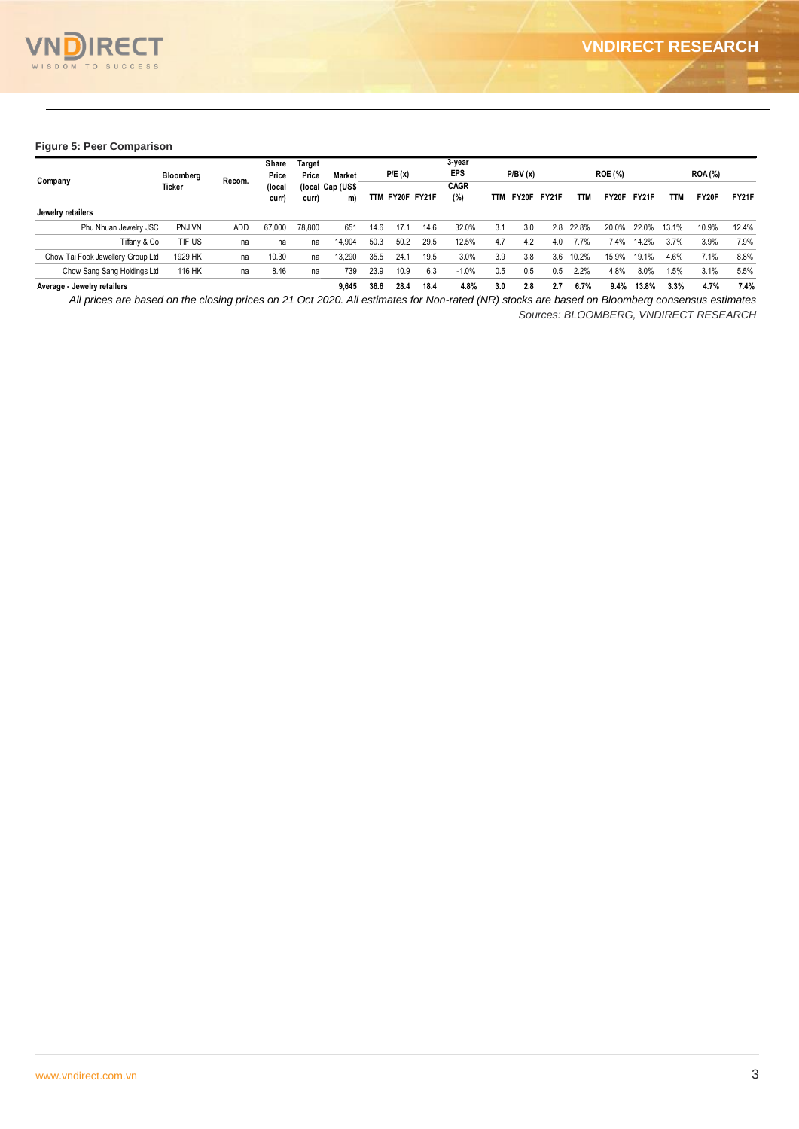

#### **Figure 5: Peer Comparison**

|                                                                                                                                               | Bloomberg |            | Share<br>Price  | Target<br>Price | Market                 |      | P/E(x)      |      | 3-year<br><b>EPS</b> |     | P/BV(x) |       |            | <b>ROE (%)</b> |       |       | <b>ROA (%)</b>                        |              |
|-----------------------------------------------------------------------------------------------------------------------------------------------|-----------|------------|-----------------|-----------------|------------------------|------|-------------|------|----------------------|-----|---------|-------|------------|----------------|-------|-------|---------------------------------------|--------------|
| Company                                                                                                                                       | Ticker    | Recom.     | (local<br>curr) | curr)           | (local Cap (US\$<br>m) | TTM  | FY20F FY21F |      | <b>CAGR</b><br>(%)   | TTM | FY20F   | FY21F | <b>TTM</b> | FY20F          | FY21F | TТM   | FY20F                                 | <b>FY21F</b> |
| Jewelry retailers                                                                                                                             |           |            |                 |                 |                        |      |             |      |                      |     |         |       |            |                |       |       |                                       |              |
| Phu Nhuan Jewelry JSC                                                                                                                         | PNJ VN    | <b>ADD</b> | 67.000          | 78,800          | 651                    | 14.6 | 17.         | 14.6 | 32.0%                | 3.1 | 3.0     | 2.8   | 22.8%      | 20.0%          | 22.0% | 13.1% | 10.9%                                 | 12.4%        |
| Tiffany & Co                                                                                                                                  | TIF US    | na         | na              | na              | 14.904                 | 50.3 | 50.2        | 29.5 | 12.5%                | 4.7 | 4.2     | 4.0   | 7.7%       | 7.4%           | 14.2% | 3.7%  | 3.9%                                  | 7.9%         |
| Chow Tai Fook Jewellery Group Ltd                                                                                                             | 1929 HK   | na         | 10.30           | na              | 13.290                 | 35.5 | 24.7        | 19.5 | 3.0%                 | 3.9 | 3.8     | 3.6   | 10.2%      | 15.9%          | 19.1% | 4.6%  | 7.1%                                  | 8.8%         |
| Chow Sang Sang Holdings Ltd                                                                                                                   | 116 HK    | na         | 8.46            | na              | 739                    | 23.9 | 10.9        | 6.3  | $-1.0%$              | 0.5 | 0.5     | 0.5   | 2.2%       | 4.8%           | 8.0%  | 1.5%  | 3.1%                                  | 5.5%         |
| Average - Jewelry retailers                                                                                                                   |           |            |                 |                 | 9.645                  | 36.6 | 28.4        | 18.4 | 4.8%                 | 3.0 | 2.8     | 2.7   | 6.7%       | 9.4%           | 13.8% | 3.3%  | 4.7%                                  | 7.4%         |
| All prices are based on the closing prices on 21 Oct 2020. All estimates for Non-rated (NR) stocks are based on Bloomberg consensus estimates |           |            |                 |                 |                        |      |             |      |                      |     |         |       |            |                |       |       |                                       |              |
|                                                                                                                                               |           |            |                 |                 |                        |      |             |      |                      |     |         |       |            |                |       |       | Sources: BLOOMBERG, VNDIRECT RESEARCH |              |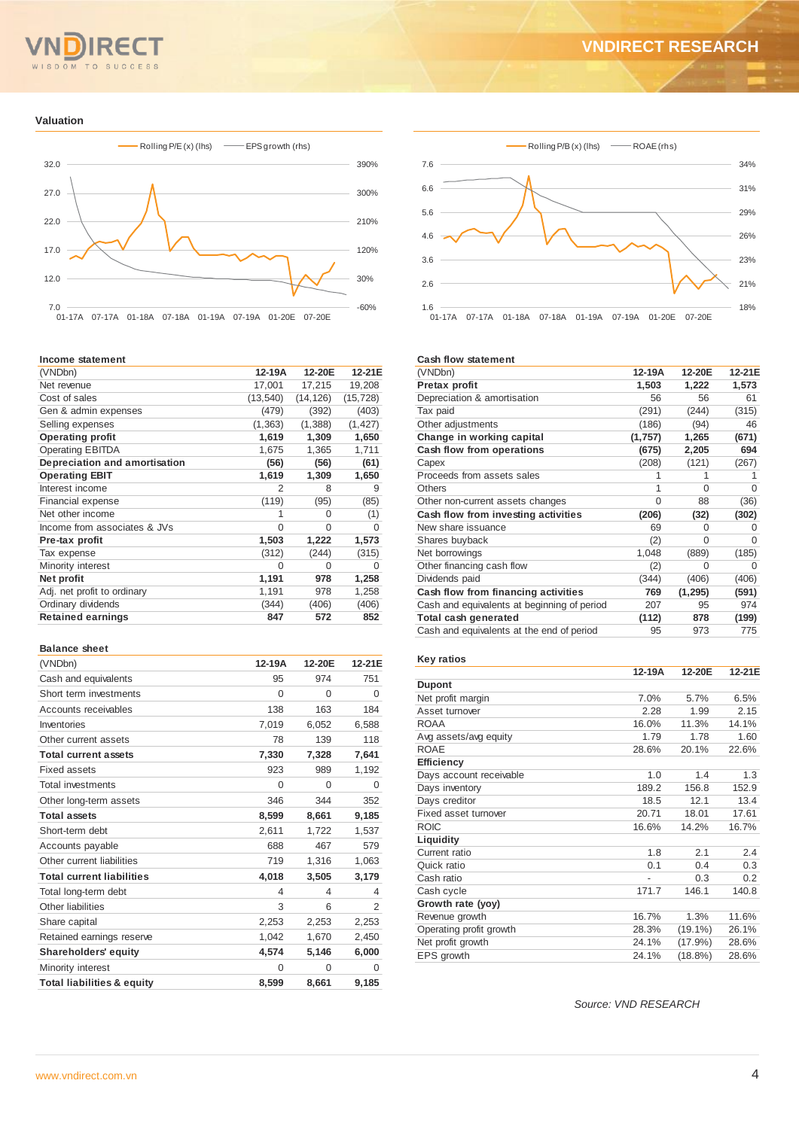# $T<sub>O</sub>$

## **VNDIRECT RESEARCH**

#### **Valuation**



#### **Income statement**

| 17,001<br>17,215<br>Net revenue<br>Cost of sales<br>(13, 540)<br>(14, 126)<br>(479)<br>(392)<br>Gen & admin expenses<br>(1, 363)<br>(1, 388)<br>Selling expenses<br>1,619<br><b>Operating profit</b><br>1,309<br><b>Operating EBITDA</b><br>1,675<br>1,365<br>Depreciation and amortisation<br>(56)<br>(56)<br>1,619<br>1,309<br><b>Operating EBIT</b><br>$\overline{2}$<br>Interest income<br>8<br>(119)<br>Financial expense<br>(95)<br>Net other income<br>1<br>0<br>Income from associates & JVs<br>$\Omega$<br>$\Omega$<br>1,503<br>1,222<br>Pre-tax profit<br>(312)<br>(244)<br>Tax expense<br>Minority interest<br>$\Omega$<br>$\Omega$<br>1,191<br>978<br>Net profit<br>1,191<br>Adj. net profit to ordinary<br>978<br>Ordinary dividends<br>(344)<br>(406) | (VNDbn)                  | 12-19A | 12-20E | 12-21E    |
|---------------------------------------------------------------------------------------------------------------------------------------------------------------------------------------------------------------------------------------------------------------------------------------------------------------------------------------------------------------------------------------------------------------------------------------------------------------------------------------------------------------------------------------------------------------------------------------------------------------------------------------------------------------------------------------------------------------------------------------------------------------------|--------------------------|--------|--------|-----------|
|                                                                                                                                                                                                                                                                                                                                                                                                                                                                                                                                                                                                                                                                                                                                                                     |                          |        |        | 19,208    |
|                                                                                                                                                                                                                                                                                                                                                                                                                                                                                                                                                                                                                                                                                                                                                                     |                          |        |        | (15, 728) |
|                                                                                                                                                                                                                                                                                                                                                                                                                                                                                                                                                                                                                                                                                                                                                                     |                          |        |        | (403)     |
|                                                                                                                                                                                                                                                                                                                                                                                                                                                                                                                                                                                                                                                                                                                                                                     |                          |        |        | (1, 427)  |
|                                                                                                                                                                                                                                                                                                                                                                                                                                                                                                                                                                                                                                                                                                                                                                     |                          |        |        | 1,650     |
|                                                                                                                                                                                                                                                                                                                                                                                                                                                                                                                                                                                                                                                                                                                                                                     |                          |        |        | 1,711     |
|                                                                                                                                                                                                                                                                                                                                                                                                                                                                                                                                                                                                                                                                                                                                                                     |                          |        |        | (61)      |
|                                                                                                                                                                                                                                                                                                                                                                                                                                                                                                                                                                                                                                                                                                                                                                     |                          |        |        | 1,650     |
|                                                                                                                                                                                                                                                                                                                                                                                                                                                                                                                                                                                                                                                                                                                                                                     |                          |        |        | 9         |
|                                                                                                                                                                                                                                                                                                                                                                                                                                                                                                                                                                                                                                                                                                                                                                     |                          |        |        | (85)      |
|                                                                                                                                                                                                                                                                                                                                                                                                                                                                                                                                                                                                                                                                                                                                                                     |                          |        |        | (1)       |
|                                                                                                                                                                                                                                                                                                                                                                                                                                                                                                                                                                                                                                                                                                                                                                     |                          |        |        | 0         |
|                                                                                                                                                                                                                                                                                                                                                                                                                                                                                                                                                                                                                                                                                                                                                                     |                          |        |        | 1,573     |
|                                                                                                                                                                                                                                                                                                                                                                                                                                                                                                                                                                                                                                                                                                                                                                     |                          |        |        | (315)     |
|                                                                                                                                                                                                                                                                                                                                                                                                                                                                                                                                                                                                                                                                                                                                                                     |                          |        |        | O         |
|                                                                                                                                                                                                                                                                                                                                                                                                                                                                                                                                                                                                                                                                                                                                                                     |                          |        |        | 1,258     |
|                                                                                                                                                                                                                                                                                                                                                                                                                                                                                                                                                                                                                                                                                                                                                                     |                          |        |        | 1,258     |
|                                                                                                                                                                                                                                                                                                                                                                                                                                                                                                                                                                                                                                                                                                                                                                     |                          |        |        | (406)     |
|                                                                                                                                                                                                                                                                                                                                                                                                                                                                                                                                                                                                                                                                                                                                                                     | <b>Retained earnings</b> | 847    | 572    | 852       |

#### **Balance sheet**

| (VNDbn)                               | 12-19A   | 12-20E   | 12-21E   |
|---------------------------------------|----------|----------|----------|
| Cash and equivalents                  | 95       | 974      | 751      |
| Short term investments                | 0        | $\Omega$ | $\Omega$ |
| Accounts receivables                  | 138      | 163      | 184      |
| Inventories                           | 7,019    | 6,052    | 6,588    |
| Other current assets                  | 78       | 139      | 118      |
| <b>Total current assets</b>           | 7,330    | 7,328    | 7,641    |
| <b>Fixed assets</b>                   | 923      | 989      | 1,192    |
| Total investments                     | $\Omega$ | $\Omega$ | $\Omega$ |
| Other long-term assets                | 346      | 344      | 352      |
| <b>Total assets</b>                   | 8,599    | 8,661    | 9,185    |
| Short-term debt                       | 2,611    | 1,722    | 1,537    |
| Accounts payable                      | 688      | 467      | 579      |
| Other current liabilities             | 719      | 1,316    | 1,063    |
| <b>Total current liabilities</b>      | 4,018    | 3,505    | 3,179    |
| Total long-term debt                  | 4        | 4        | 4        |
| Other liabilities                     | 3        | 6        | 2        |
| Share capital                         | 2,253    | 2,253    | 2,253    |
| Retained earnings reserve             | 1,042    | 1,670    | 2,450    |
| <b>Shareholders' equity</b>           | 4,574    | 5,146    | 6,000    |
| Minority interest                     | $\Omega$ | $\Omega$ | $\Omega$ |
| <b>Total liabilities &amp; equity</b> | 8.599    | 8,661    | 9,185    |



#### **Cash flow statement**

| (VNDbn)                                     | 12-19A  | 12-20E   | 12-21E |
|---------------------------------------------|---------|----------|--------|
| Pretax profit                               | 1,503   | 1,222    | 1,573  |
| Depreciation & amortisation                 | 56      | 56       | 61     |
| Tax paid                                    | (291)   | (244)    | (315)  |
| Other adjustments                           | (186)   | (94)     | 46     |
| Change in working capital                   | (1,757) | 1,265    | (671)  |
| Cash flow from operations                   | (675)   | 2,205    | 694    |
| Capex                                       | (208)   | (121)    | (267)  |
| Proceeds from assets sales                  |         |          |        |
| Others                                      | 1       | $\Omega$ | Ω      |
| Other non-current assets changes            | 0       | 88       | (36)   |
| Cash flow from investing activities         | (206)   | (32)     | (302)  |
| New share issuance                          | 69      | O        | Ω      |
| Shares buyback                              | (2)     | $\Omega$ | O      |
| Net borrowings                              | 1,048   | (889)    | (185)  |
| Other financing cash flow                   | (2)     | 0        | O      |
| Dividends paid                              | (344)   | (406)    | (406)  |
| Cash flow from financing activities         | 769     | (1, 295) | (591)  |
| Cash and equivalents at beginning of period | 207     | 95       | 974    |
| Total cash generated                        | (112)   | 878      | (199)  |
| Cash and equivalents at the end of period   | 95      | 973      | 775    |

#### **Key ratios**

|                         | 12-19A         | 12-20E     | 12-21E |
|-------------------------|----------------|------------|--------|
| <b>Dupont</b>           |                |            |        |
| Net profit margin       | 7.0%           | 5.7%       | 6.5%   |
| Asset turnover          | 2.28           | 1.99       | 2.15   |
| <b>ROAA</b>             | 16.0%          | 11.3%      | 14.1%  |
| Avg assets/avg equity   | 1.79           | 1.78       | 1.60   |
| <b>ROAE</b>             | 28.6%          | 20.1%      | 22.6%  |
| Efficiency              |                |            |        |
| Days account receivable | 1.0            | 1.4        | 1.3    |
| Days inventory          | 189.2          | 156.8      | 152.9  |
| Days creditor           | 18.5           | 12.1       | 13.4   |
| Fixed asset turnover    | 20.71          | 18.01      | 17.61  |
| <b>ROIC</b>             | 16.6%          | 14.2%      | 16.7%  |
| Liquidity               |                |            |        |
| Current ratio           | 1.8            | 2.1        | 2.4    |
| Quick ratio             | 0.1            | 0.4        | 0.3    |
| Cash ratio              | $\overline{a}$ | 0.3        | 0.2    |
| Cash cycle              | 171.7          | 146.1      | 140.8  |
| Growth rate (yoy)       |                |            |        |
| Revenue growth          | 16.7%          | 1.3%       | 11.6%  |
| Operating profit growth | 28.3%          | $(19.1\%)$ | 26.1%  |
| Net profit growth       | 24.1%          | $(17.9\%)$ | 28.6%  |
| EPS growth              | 24.1%          | (18.8%)    | 28.6%  |

*Source: VND RESEARCH*